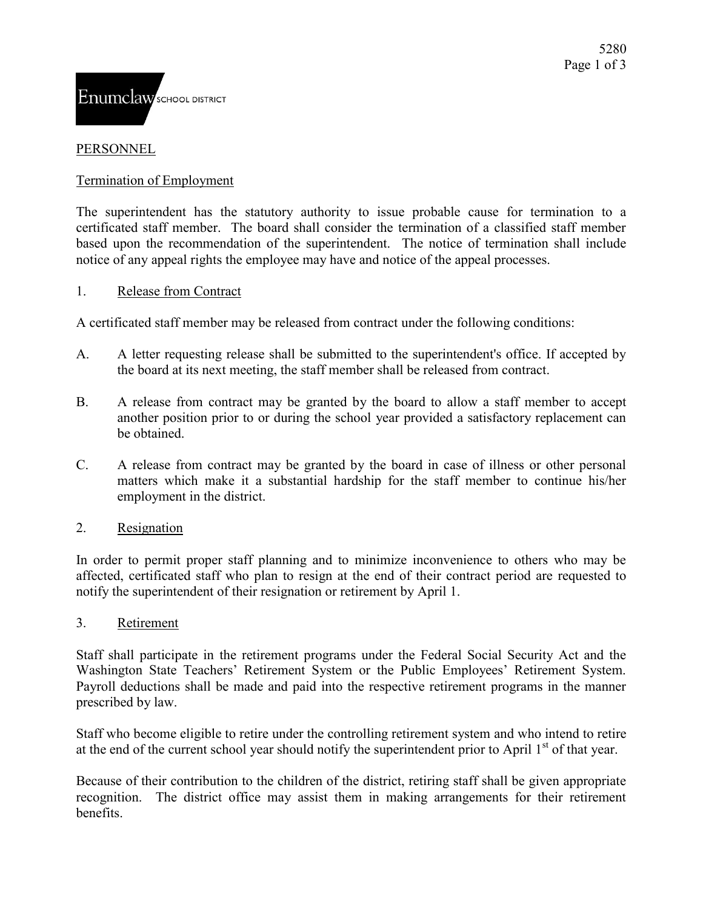# PERSONNEL

#### Termination of Employment

The superintendent has the statutory authority to issue probable cause for termination to a certificated staff member. The board shall consider the termination of a classified staff member based upon the recommendation of the superintendent. The notice of termination shall include notice of any appeal rights the employee may have and notice of the appeal processes.

#### 1. Release from Contract

A certificated staff member may be released from contract under the following conditions:

- A. A letter requesting release shall be submitted to the superintendent's office. If accepted by the board at its next meeting, the staff member shall be released from contract.
- B. A release from contract may be granted by the board to allow a staff member to accept another position prior to or during the school year provided a satisfactory replacement can be obtained.
- C. A release from contract may be granted by the board in case of illness or other personal matters which make it a substantial hardship for the staff member to continue his/her employment in the district.

# 2. Resignation

In order to permit proper staff planning and to minimize inconvenience to others who may be affected, certificated staff who plan to resign at the end of their contract period are requested to notify the superintendent of their resignation or retirement by April 1.

#### 3. Retirement

Staff shall participate in the retirement programs under the Federal Social Security Act and the Washington State Teachers' Retirement System or the Public Employees' Retirement System. Payroll deductions shall be made and paid into the respective retirement programs in the manner prescribed by law.

Staff who become eligible to retire under the controlling retirement system and who intend to retire at the end of the current school year should notify the superintendent prior to April  $1<sup>st</sup>$  of that year.

Because of their contribution to the children of the district, retiring staff shall be given appropriate recognition. The district office may assist them in making arrangements for their retirement benefits.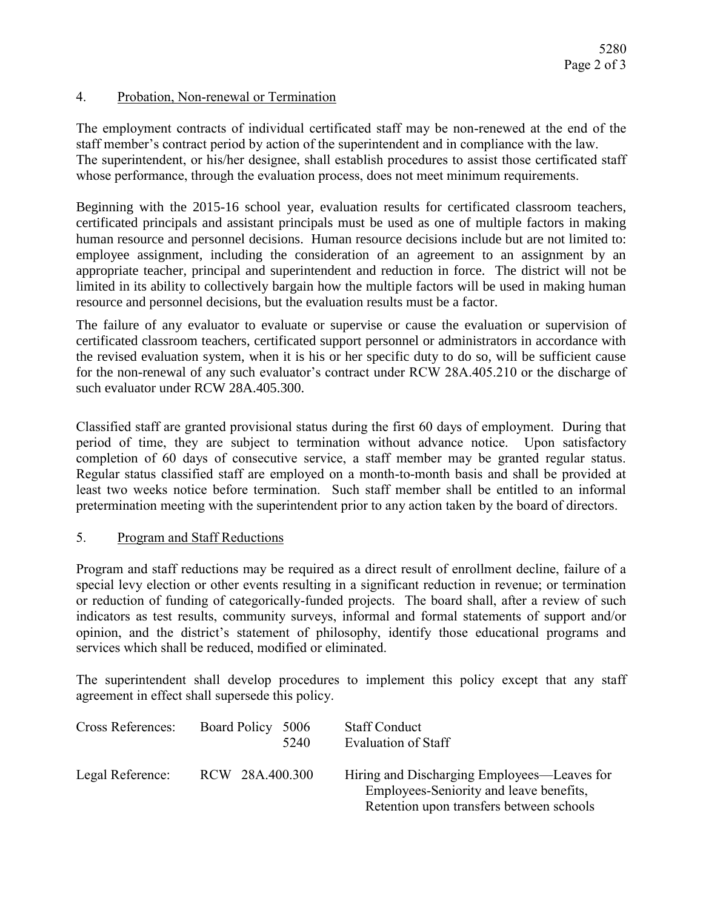# 4. Probation, Non-renewal or Termination

The employment contracts of individual certificated staff may be non-renewed at the end of the staff member's contract period by action of the superintendent and in compliance with the law. The superintendent, or his/her designee, shall establish procedures to assist those certificated staff whose performance, through the evaluation process, does not meet minimum requirements.

Beginning with the 2015-16 school year, evaluation results for certificated classroom teachers, certificated principals and assistant principals must be used as one of multiple factors in making human resource and personnel decisions. Human resource decisions include but are not limited to: employee assignment, including the consideration of an agreement to an assignment by an appropriate teacher, principal and superintendent and reduction in force. The district will not be limited in its ability to collectively bargain how the multiple factors will be used in making human resource and personnel decisions, but the evaluation results must be a factor.

The failure of any evaluator to evaluate or supervise or cause the evaluation or supervision of certificated classroom teachers, certificated support personnel or administrators in accordance with the revised evaluation system, when it is his or her specific duty to do so, will be sufficient cause for the non-renewal of any such evaluator's contract under RCW 28A.405.210 or the discharge of such evaluator under RCW 28A.405.300.

Classified staff are granted provisional status during the first 60 days of employment. During that period of time, they are subject to termination without advance notice. Upon satisfactory completion of 60 days of consecutive service, a staff member may be granted regular status. Regular status classified staff are employed on a month-to-month basis and shall be provided at least two weeks notice before termination. Such staff member shall be entitled to an informal pretermination meeting with the superintendent prior to any action taken by the board of directors.

# 5. Program and Staff Reductions

Program and staff reductions may be required as a direct result of enrollment decline, failure of a special levy election or other events resulting in a significant reduction in revenue; or termination or reduction of funding of categorically-funded projects. The board shall, after a review of such indicators as test results, community surveys, informal and formal statements of support and/or opinion, and the district's statement of philosophy, identify those educational programs and services which shall be reduced, modified or eliminated.

The superintendent shall develop procedures to implement this policy except that any staff agreement in effect shall supersede this policy.

| <b>Cross References:</b> | <b>Board Policy</b><br>5006<br>5240 | <b>Staff Conduct</b><br>Evaluation of Staff                                                                                        |
|--------------------------|-------------------------------------|------------------------------------------------------------------------------------------------------------------------------------|
| Legal Reference:         | RCW 28A.400.300                     | Hiring and Discharging Employees—Leaves for<br>Employees-Seniority and leave benefits,<br>Retention upon transfers between schools |